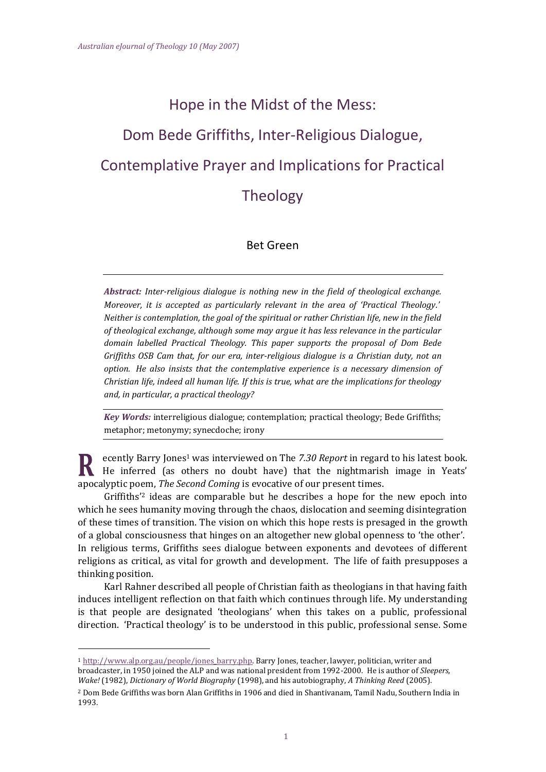# Hope in the Midst of the Mess: Dom Bede Griffiths, Inter-Religious Dialogue, Contemplative Prayer and Implications for Practical Theology

## Bet Green

*Abstract: Inter-religious dialogue is nothing new in the field of theological exchange. Moreover, it is accepted as particularly relevant in the area of 'Practical Theology.' Neither is contemplation, the goal of the spiritual or rather Christian life, new in the field of theological exchange, although some may argue it has less relevance in the particular domain labelled Practical Theology. This paper supports the proposal of Dom Bede Griffiths OSB Cam that, for our era, inter-religious dialogue is a Christian duty, not an option. He also insists that the contemplative experience is a necessary dimension of Christian life, indeed all human life. If this is true, what are the implications for theology and, in particular, a practical theology?*

*Key Words:* interreligious dialogue; contemplation; practical theology; Bede Griffiths; metaphor; metonymy; synecdoche; irony

ecently Barry Jones<sup>1</sup> was interviewed on The *7.30 Report* in regard to his latest book. He inferred (as others no doubt have) that the nightmarish image in Yeats' apocalyptic poem, *The Second Coming* is evocative of our present times.

Griffiths'<sup>2</sup> ideas are comparable but he describes a hope for the new epoch into which he sees humanity moving through the chaos, dislocation and seeming disintegration of these times of transition. The vision on which this hope rests is presaged in the growth of a global consciousness that hinges on an altogether new global openness to 'the other'. In religious terms, Griffiths sees dialogue between exponents and devotees of different religions as critical, as vital for growth and development. The life of faith presupposes a thinking position.

Karl Rahner described all people of Christian faith as theologians in that having faith induces intelligent reflection on that faith which continues through life. My understanding is that people are designated 'theologians' when this takes on a public, professional direction. 'Practical theology' is to be understood in this public, professional sense. Some

<sup>1</sup> [http://www.alp.org.au/people/jones\\_barry.php.](http://www.alp.org.au/people/jones_barry.php) Barry Jones, teacher, lawyer, politician, writer and broadcaster, in 1950 joined the ALP and was national president from 1992-2000. He is author of *Sleepers, Wake!* (1982), *Dictionary of World Biography* (1998), and his autobiography, *A Thinking Reed* (2005).

<sup>2</sup> Dom Bede Griffiths was born Alan Griffiths in 1906 and died in Shantivanam, Tamil Nadu, Southern India in 1993.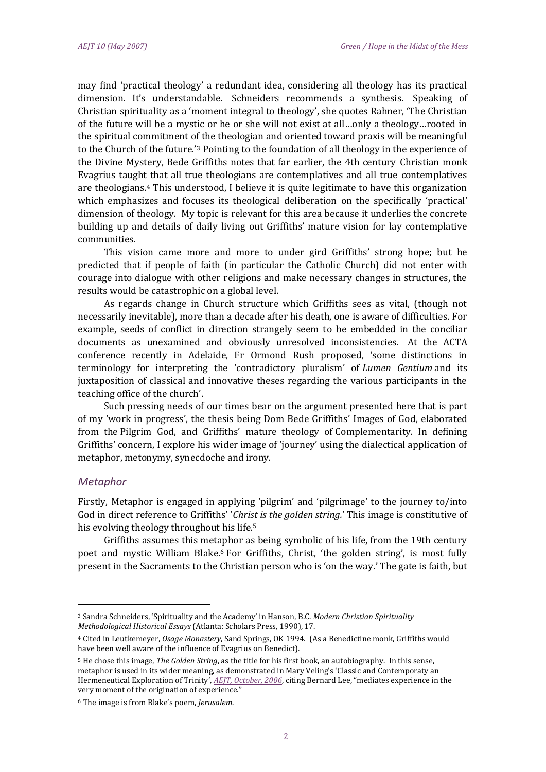may find 'practical theology' a redundant idea, considering all theology has its practical dimension. It's understandable. Schneiders recommends a synthesis. Speaking of Christian spirituality as a 'moment integral to theology', she quotes Rahner, 'The Christian of the future will be a mystic or he or she will not exist at all…only a theology…rooted in the spiritual commitment of the theologian and oriented toward praxis will be meaningful to the Church of the future.'<sup>3</sup> Pointing to the foundation of all theology in the experience of the Divine Mystery, Bede Griffiths notes that far earlier, the 4th century Christian monk Evagrius taught that all true theologians are contemplatives and all true contemplatives are theologians.<sup>4</sup> This understood, I believe it is quite legitimate to have this organization which emphasizes and focuses its theological deliberation on the specifically 'practical' dimension of theology. My topic is relevant for this area because it underlies the concrete building up and details of daily living out Griffiths' mature vision for lay contemplative communities.

This vision came more and more to under gird Griffiths' strong hope; but he predicted that if people of faith (in particular the Catholic Church) did not enter with courage into dialogue with other religions and make necessary changes in structures, the results would be catastrophic on a global level.

As regards change in Church structure which Griffiths sees as vital, (though not necessarily inevitable), more than a decade after his death, one is aware of difficulties. For example, seeds of conflict in direction strangely seem to be embedded in the conciliar documents as unexamined and obviously unresolved inconsistencies. At the ACTA conference recently in Adelaide, Fr Ormond Rush proposed, 'some distinctions in terminology for interpreting the 'contradictory pluralism' of *Lumen Gentium* and its juxtaposition of classical and innovative theses regarding the various participants in the teaching office of the church'.

Such pressing needs of our times bear on the argument presented here that is part of my 'work in progress', the thesis being Dom Bede Griffiths' Images of God, elaborated from the Pilgrim God, and Griffiths' mature theology of Complementarity. In defining Griffiths' concern, I explore his wider image of 'journey' using the dialectical application of metaphor, metonymy, synecdoche and irony.

### *Metaphor*

l

Firstly, Metaphor is engaged in applying 'pilgrim' and 'pilgrimage' to the journey to/into God in direct reference to Griffiths' '*Christ is the golden string.*' This image is constitutive of his evolving theology throughout his life.<sup>5</sup>

Griffiths assumes this metaphor as being symbolic of his life, from the 19th century poet and mystic William Blake.<sup>6</sup> For Griffiths, Christ, 'the golden string', is most fully present in the Sacraments to the Christian person who is 'on the way.' The gate is faith, but

<sup>3</sup> Sandra Schneiders, 'Spirituality and the Academy' in Hanson, B.C. *Modern Christian Spirituality Methodological Historical Essays* (Atlanta: Scholars Press, 1990), 17.

<sup>4</sup> Cited in Leutkemeyer, *Osage Monastery*, Sand Springs, OK 1994. (As a Benedictine monk, Griffiths would have been well aware of the influence of Evagrius on Benedict).

<sup>5</sup> He chose this image, *The Golden String*, as the title for his first book, an autobiography. In this sense, metaphor is used in its wider meaning, as demonstrated in Mary Veling's 'Classic and Contemporaty an Hermeneutical Exploration of Trinity', *[AEJT, October, 2006](http://dlibrary.acu.edu.au/research/theology/ejournal/aejt_8/veling.htm)*, citing Bernard Lee, "mediates experience in the very moment of the origination of experience."

<sup>6</sup> The image is from Blake's poem, *Jerusalem*.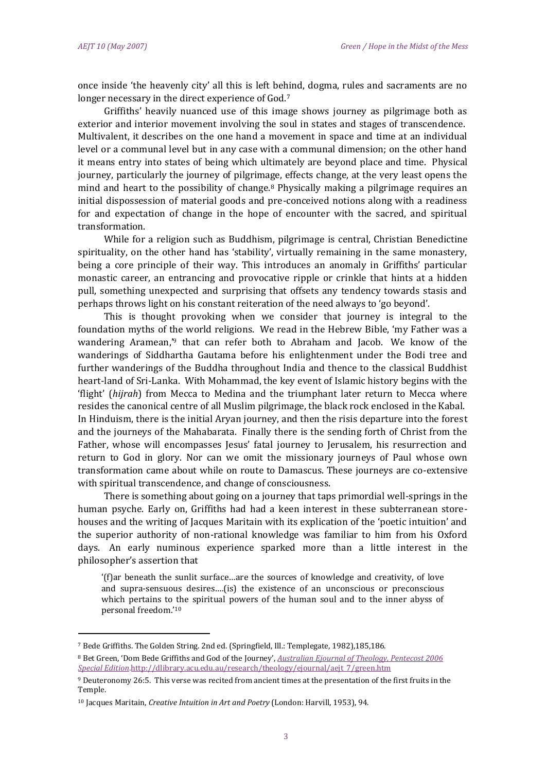l

once inside 'the heavenly city' all this is left behind, dogma, rules and sacraments are no longer necessary in the direct experience of God.<sup>7</sup>

Griffiths' heavily nuanced use of this image shows journey as pilgrimage both as exterior and interior movement involving the soul in states and stages of transcendence. Multivalent, it describes on the one hand a movement in space and time at an individual level or a communal level but in any case with a communal dimension; on the other hand it means entry into states of being which ultimately are beyond place and time. Physical journey, particularly the journey of pilgrimage, effects change, at the very least opens the mind and heart to the possibility of change.<sup>8</sup> Physically making a pilgrimage requires an initial dispossession of material goods and pre-conceived notions along with a readiness for and expectation of change in the hope of encounter with the sacred, and spiritual transformation.

While for a religion such as Buddhism, pilgrimage is central, Christian Benedictine spirituality, on the other hand has 'stability', virtually remaining in the same monastery, being a core principle of their way. This introduces an anomaly in Griffiths' particular monastic career, an entrancing and provocative ripple or crinkle that hints at a hidden pull, something unexpected and surprising that offsets any tendency towards stasis and perhaps throws light on his constant reiteration of the need always to 'go beyond'.

This is thought provoking when we consider that journey is integral to the foundation myths of the world religions. We read in the Hebrew Bible, 'my Father was a wandering Aramean,' <sup>9</sup> that can refer both to Abraham and Jacob. We know of the wanderings of Siddhartha Gautama before his enlightenment under the Bodi tree and further wanderings of the Buddha throughout India and thence to the classical Buddhist heart-land of Sri-Lanka. With Mohammad, the key event of Islamic history begins with the 'flight' (*hijrah*) from Mecca to Medina and the triumphant later return to Mecca where resides the canonical centre of all Muslim pilgrimage, the black rock enclosed in the Kabal. In Hinduism, there is the initial Aryan journey, and then the risis departure into the forest and the journeys of the Mahabarata. Finally there is the sending forth of Christ from the Father, whose will encompasses Jesus' fatal journey to Jerusalem, his resurrection and return to God in glory. Nor can we omit the missionary journeys of Paul whose own transformation came about while on route to Damascus. These journeys are co-extensive with spiritual transcendence, and change of consciousness.

There is something about going on a journey that taps primordial well-springs in the human psyche. Early on, Griffiths had had a keen interest in these subterranean storehouses and the writing of Jacques Maritain with its explication of the 'poetic intuition' and the superior authority of non-rational knowledge was familiar to him from his Oxford days. An early numinous experience sparked more than a little interest in the philosopher's assertion that

'(f)ar beneath the sunlit surface…are the sources of knowledge and creativity, of love and supra-sensuous desires….(is) the existence of an unconscious or preconscious which pertains to the spiritual powers of the human soul and to the inner abyss of personal freedom.' 10

<sup>7</sup> Bede Griffiths. The Golden String. 2nd ed. (Springfield, Ill.: Templegate, 1982),185,186.

<sup>8</sup> Bet Green, 'Dom Bede Griffiths and God of the Journey', *[Australian Ejournal of Theology, Pentecost 2006](http://dlibrary.acu.edu.au/research/theology/ejournal/aejt_7/green.htm)  [Special Edition](http://dlibrary.acu.edu.au/research/theology/ejournal/aejt_7/green.htm)*[.http://dlibrary.acu.edu.au/research/theology/ejournal/aejt\\_7/green.htm](http://dlibrary.acu.edu.au/research/theology/ejournal/aejt_7/green.htm)

<sup>9</sup> Deuteronomy 26:5. This verse was recited from ancient times at the presentation of the first fruits in the Temple.

<sup>10</sup> Jacques Maritain, *Creative Intuition in Art and Poetry* (London: Harvill, 1953), 94.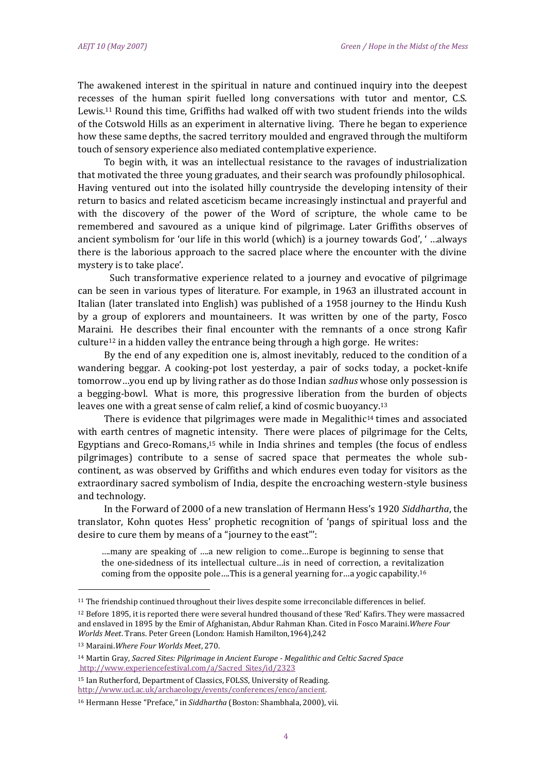The awakened interest in the spiritual in nature and continued inquiry into the deepest recesses of the human spirit fuelled long conversations with tutor and mentor, C.S. Lewis.<sup>11</sup> Round this time, Griffiths had walked off with two student friends into the wilds of the Cotswold Hills as an experiment in alternative living. There he began to experience how these same depths, the sacred territory moulded and engraved through the multiform touch of sensory experience also mediated contemplative experience.

To begin with, it was an intellectual resistance to the ravages of industrialization that motivated the three young graduates, and their search was profoundly philosophical. Having ventured out into the isolated hilly countryside the developing intensity of their return to basics and related asceticism became increasingly instinctual and prayerful and with the discovery of the power of the Word of scripture, the whole came to be remembered and savoured as a unique kind of pilgrimage. Later Griffiths observes of ancient symbolism for 'our life in this world (which) is a journey towards God', ' …always there is the laborious approach to the sacred place where the encounter with the divine mystery is to take place'.

Such transformative experience related to a journey and evocative of pilgrimage can be seen in various types of literature. For example, in 1963 an illustrated account in Italian (later translated into English) was published of a 1958 journey to the Hindu Kush by a group of explorers and mountaineers. It was written by one of the party, Fosco Maraini. He describes their final encounter with the remnants of a once strong Kafir  $culture<sup>12</sup>$  in a hidden valley the entrance being through a high gorge. He writes:

By the end of any expedition one is, almost inevitably, reduced to the condition of a wandering beggar. A cooking-pot lost yesterday, a pair of socks today, a pocket-knife tomorrow…you end up by living rather as do those Indian *sadhus* whose only possession is a begging-bowl. What is more, this progressive liberation from the burden of objects leaves one with a great sense of calm relief, a kind of cosmic buoyancy.<sup>13</sup>

There is evidence that pilgrimages were made in Megalithic<sup>14</sup> times and associated with earth centres of magnetic intensity. There were places of pilgrimage for the Celts, Egyptians and Greco-Romans,<sup>15</sup> while in India shrines and temples (the focus of endless pilgrimages) contribute to a sense of sacred space that permeates the whole subcontinent, as was observed by Griffiths and which endures even today for visitors as the extraordinary sacred symbolism of India, despite the encroaching western-style business and technology.

In the Forward of 2000 of a new translation of Hermann Hess's 1920 *Siddhartha*, the translator, Kohn quotes Hess' prophetic recognition of 'pangs of spiritual loss and the desire to cure them by means of a "journey to the east"':

….many are speaking of ….a new religion to come…Europe is beginning to sense that the one-sidedness of its intellectual culture…is in need of correction, a revitalization coming from the opposite pole….This is a general yearning for…a yogic capability.<sup>16</sup>

<sup>11</sup> The friendship continued throughout their lives despite some irreconcilable differences in belief.

<sup>12</sup> Before 1895, it is reported there were several hundred thousand of these 'Red' Kafirs. They were massacred and enslaved in 1895 by the Emir of Afghanistan, Abdur Rahman Khan. Cited in Fosco Maraini.*Where Four Worlds Meet*. Trans. Peter Green (London: Hamish Hamilton,1964),242

<sup>13</sup> Maraini.*Where Four Worlds Meet*, 270.

<sup>14</sup> Martin Gray, *Sacred Sites: Pilgrimage in Ancient Europe - Megalithic and Celtic Sacred Space* [http://www.experiencefestival.com/a/Sacred\\_Sites/id/2323](http://www.experiencefestival.com/a/Sacred_Sites/id/2323)

<sup>15</sup> Ian Rutherford, Department of Classics, FOLSS, University of Reading. [http://www.ucl.ac.uk/archaeology/events/conferences/enco/ancient.](http://www.ucl.ac.uk/archaeology/events/conferences/enco/ancient.htm)

<sup>16</sup> Hermann Hesse "Preface," in *Siddhartha* (Boston: Shambhala, 2000), vii.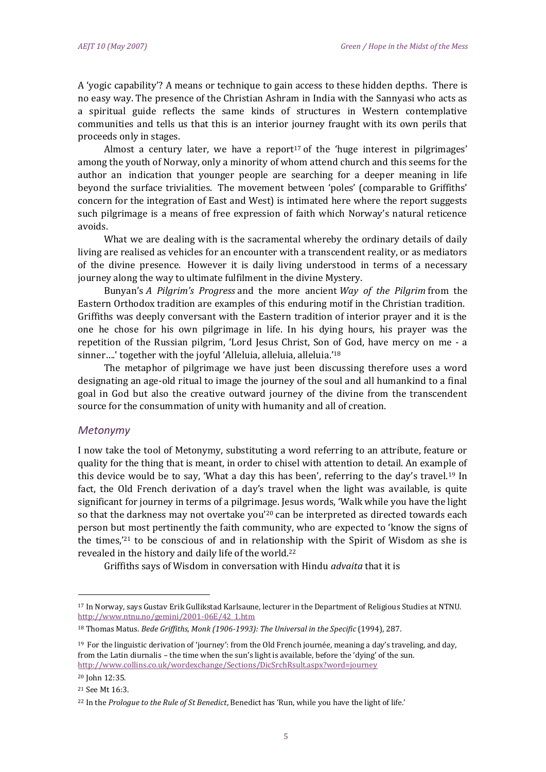A 'yogic capability'? A means or technique to gain access to these hidden depths. There is no easy way. The presence of the Christian Ashram in India with the Sannyasi who acts as a spiritual guide reflects the same kinds of structures in Western contemplative communities and tells us that this is an interior journey fraught with its own perils that proceeds only in stages.

Almost a century later, we have a report<sup>17</sup> of the 'huge interest in pilgrimages' among the youth of Norway, only a minority of whom attend church and this seems for the author an indication that younger people are searching for a deeper meaning in life beyond the surface trivialities. The movement between 'poles' (comparable to Griffiths' concern for the integration of East and West) is intimated here where the report suggests such pilgrimage is a means of free expression of faith which Norway's natural reticence avoids.

What we are dealing with is the sacramental whereby the ordinary details of daily living are realised as vehicles for an encounter with a transcendent reality, or as mediators of the divine presence. However it is daily living understood in terms of a necessary journey along the way to ultimate fulfilment in the divine Mystery.

Bunyan's *A Pilgrim's Progress* and the more ancient *Way of the Pilgrim* from the Eastern Orthodox tradition are examples of this enduring motif in the Christian tradition. Griffiths was deeply conversant with the Eastern tradition of interior prayer and it is the one he chose for his own pilgrimage in life. In his dying hours, his prayer was the repetition of the Russian pilgrim, 'Lord Jesus Christ, Son of God, have mercy on me - a sinner....' together with the joyful 'Alleluia, alleluia, alleluia.'<sup>18</sup>

The metaphor of pilgrimage we have just been discussing therefore uses a word designating an age-old ritual to image the journey of the soul and all humankind to a final goal in God but also the creative outward journey of the divine from the transcendent source for the consummation of unity with humanity and all of creation.

#### *Metonymy*

I now take the tool of Metonymy, substituting a word referring to an attribute, feature or quality for the thing that is meant, in order to chisel with attention to detail. An example of this device would be to say, 'What a day this has been', referring to the day's travel.<sup>19</sup> In fact, the Old French derivation of a day's travel when the light was available, is quite significant for journey in terms of a pilgrimage. Jesus words, 'Walk while you have the light so that the darkness may not overtake you<sup>'20</sup> can be interpreted as directed towards each person but most pertinently the faith community, who are expected to 'know the signs of the times,' <sup>21</sup> to be conscious of and in relationship with the Spirit of Wisdom as she is revealed in the history and daily life of the world.<sup>22</sup>

Griffiths says of Wisdom in conversation with Hindu *advaita* that it is

<sup>17</sup> In Norway, says Gustav Erik Gullikstad Karlsaune, lecturer in the Department of Religious Studies at NTNU. [http://www.ntnu.no/gemini/2001-06E/42\\_1.htm](http://www.ntnu.no/gemini/2001-06E/42_1.htm)

<sup>18</sup> Thomas Matus. *Bede Griffiths, Monk (1906-1993): The Universal in the Specific* (1994), 287.

<sup>19</sup> For the linguistic derivation of 'journey': from the Old French journée, meaning a day's traveling, and day, from the Latin diurnalis – the time when the sun's light is available, before the 'dying' of the sun. <http://www.collins.co.uk/wordexchange/Sections/DicSrchRsult.aspx?word=journey>

<sup>20</sup> John 12:35. <sup>21</sup> See Mt 16:3.

<sup>22</sup> In the *Prologue to the Rule of St Benedict*, Benedict has 'Run, while you have the light of life.'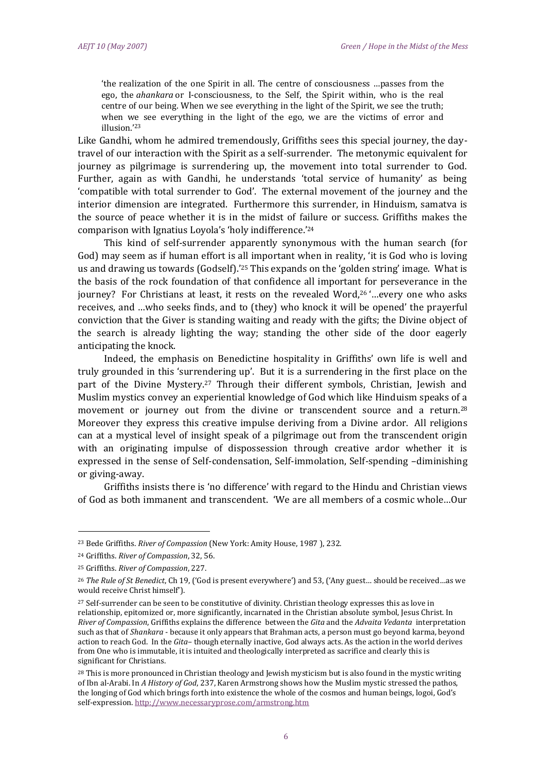'the realization of the one Spirit in all. The centre of consciousness …passes from the ego, the *ahankara* or I-consciousness, to the Self, the Spirit within, who is the real centre of our being. When we see everything in the light of the Spirit, we see the truth; when we see everything in the light of the ego, we are the victims of error and illusion.'<sup>23</sup>

Like Gandhi, whom he admired tremendously, Griffiths sees this special journey, the daytravel of our interaction with the Spirit as a self-surrender. The metonymic equivalent for journey as pilgrimage is surrendering up, the movement into total surrender to God. Further, again as with Gandhi, he understands 'total service of humanity' as being 'compatible with total surrender to God'. The external movement of the journey and the interior dimension are integrated. Furthermore this surrender, in Hinduism, samatva is the source of peace whether it is in the midst of failure or success. Griffiths makes the comparison with Ignatius Loyola's 'holy indifference.'<sup>24</sup>

This kind of self-surrender apparently synonymous with the human search (for God) may seem as if human effort is all important when in reality, 'it is God who is loving us and drawing us towards (Godself).'<sup>25</sup> This expands on the 'golden string' image. What is the basis of the rock foundation of that confidence all important for perseverance in the journey? For Christians at least, it rests on the revealed Word,<sup>26</sup> '…every one who asks receives, and …who seeks finds, and to (they) who knock it will be opened' the prayerful conviction that the Giver is standing waiting and ready with the gifts; the Divine object of the search is already lighting the way; standing the other side of the door eagerly anticipating the knock.

Indeed, the emphasis on Benedictine hospitality in Griffiths' own life is well and truly grounded in this 'surrendering up'. But it is a surrendering in the first place on the part of the Divine Mystery.<sup>27</sup> Through their different symbols, Christian, Jewish and Muslim mystics convey an experiential knowledge of God which like Hinduism speaks of a movement or journey out from the divine or transcendent source and a return.<sup>28</sup> Moreover they express this creative impulse deriving from a Divine ardor. All religions can at a mystical level of insight speak of a pilgrimage out from the transcendent origin with an originating impulse of dispossession through creative ardor whether it is expressed in the sense of Self-condensation, Self-immolation, Self-spending –diminishing or giving-away.

Griffiths insists there is 'no difference' with regard to the Hindu and Christian views of God as both immanent and transcendent. 'We are all members of a cosmic whole…Our

<sup>23</sup> Bede Griffiths. *River of Compassion* (New York: Amity House, 1987 ), 232.

<sup>24</sup> Griffiths. *River of Compassion*, 32, 56.

<sup>25</sup> Griffiths. *River of Compassion*, 227.

<sup>26</sup> *The Rule of St Benedict*, Ch 19, ('God is present everywhere') and 53, ('Any guest… should be received…as we would receive Christ himself').

<sup>&</sup>lt;sup>27</sup> Self-surrender can be seen to be constitutive of divinity. Christian theology expresses this as love in relationship, epitomized or, more significantly, incarnated in the Christian absolute symbol, Jesus Christ. In *River of Compassion*, Griffiths explains the difference between the *Gita* and the *Advaita Vedanta* interpretation such as that of *Shankara* - because it only appears that Brahman acts, a person must go beyond karma, beyond action to reach God. In the *Gita*– though eternally inactive, God always acts. As the action in the world derives from One who is immutable, it is intuited and theologically interpreted as sacrifice and clearly this is significant for Christians.

<sup>&</sup>lt;sup>28</sup> This is more pronounced in Christian theology and Jewish mysticism but is also found in the mystic writing of Ibn al-Arabi. In *A History of God*, 237, Karen Armstrong shows how the Muslim mystic stressed the pathos, the longing of God which brings forth into existence the whole of the cosmos and human beings, logoi, God's self-expression. <http://www.necessaryprose.com/armstrong.htm>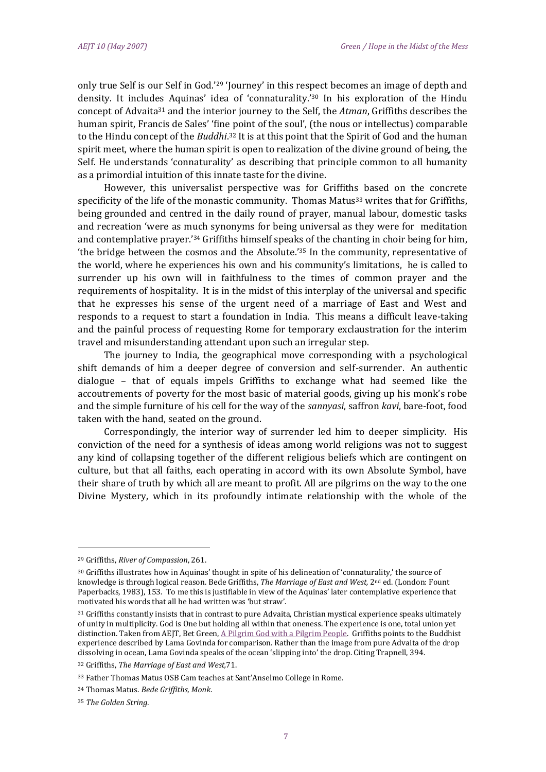only true Self is our Self in God.'<sup>29</sup> 'Journey' in this respect becomes an image of depth and density. It includes Aquinas' idea of 'connaturality.' <sup>30</sup> In his exploration of the Hindu concept of Advaita<sup>31</sup> and the interior journey to the Self, the *Atman*, Griffiths describes the human spirit, Francis de Sales' 'fine point of the soul', (the nous or intellectus) comparable to the Hindu concept of the *Buddhi*.<sup>32</sup> It is at this point that the Spirit of God and the human spirit meet, where the human spirit is open to realization of the divine ground of being, the Self. He understands 'connaturality' as describing that principle common to all humanity as a primordial intuition of this innate taste for the divine.

However, this universalist perspective was for Griffiths based on the concrete specificity of the life of the monastic community. Thomas Matus<sup>33</sup> writes that for Griffiths, being grounded and centred in the daily round of prayer, manual labour, domestic tasks and recreation 'were as much synonyms for being universal as they were for meditation and contemplative prayer.<sup>'34</sup> Griffiths himself speaks of the chanting in choir being for him, 'the bridge between the cosmos and the Absolute.' <sup>35</sup> In the community, representative of the world, where he experiences his own and his community's limitations, he is called to surrender up his own will in faithfulness to the times of common prayer and the requirements of hospitality. It is in the midst of this interplay of the universal and specific that he expresses his sense of the urgent need of a marriage of East and West and responds to a request to start a foundation in India. This means a difficult leave-taking and the painful process of requesting Rome for temporary exclaustration for the interim travel and misunderstanding attendant upon such an irregular step.

The journey to India, the geographical move corresponding with a psychological shift demands of him a deeper degree of conversion and self-surrender. An authentic dialogue – that of equals impels Griffiths to exchange what had seemed like the accoutrements of poverty for the most basic of material goods, giving up his monk's robe and the simple furniture of his cell for the way of the *sannyasi*, saffron *kavi*, bare-foot, food taken with the hand, seated on the ground.

Correspondingly, the interior way of surrender led him to deeper simplicity. His conviction of the need for a synthesis of ideas among world religions was not to suggest any kind of collapsing together of the different religious beliefs which are contingent on culture, but that all faiths, each operating in accord with its own Absolute Symbol, have their share of truth by which all are meant to profit. All are pilgrims on the way to the one Divine Mystery, which in its profoundly intimate relationship with the whole of the

<sup>29</sup> Griffiths, *River of Compassion*, 261.

<sup>30</sup> Griffiths illustrates how in Aquinas' thought in spite of his delineation of 'connaturality,' the source of knowledge is through logical reason. Bede Griffiths, *The Marriage of East and West,* 2nd ed. (London: Fount Paperbacks, 1983), 153. To me this is justifiable in view of the Aquinas' later contemplative experience that motivated his words that all he had written was 'but straw'.

<sup>&</sup>lt;sup>31</sup> Griffiths constantly insists that in contrast to pure Advaita, Christian mystical experience speaks ultimately of unity in multiplicity. God is One but holding all within that oneness. The experience is one, total union yet distinction. Taken from AEJT, Bet Green, [A Pilgrim God with a Pilgrim People.](http://dlibrary.acu.edu.au/research/theology/ejournal/aejt_8/betgreen.htm) Griffiths points to the Buddhist experience described by Lama Govinda for comparison. Rather than the image from pure Advaita of the drop dissolving in ocean, Lama Govinda speaks of the ocean 'slipping into' the drop. Citing Trapnell, 394.

<sup>32</sup> Griffiths, *The Marriage of East and West,*71.

<sup>33</sup> Father Thomas Matus OSB Cam teaches at Sant'Anselmo College in Rome.

<sup>34</sup> Thomas Matus. *Bede Griffiths, Monk*.

<sup>35</sup> *The Golden String.*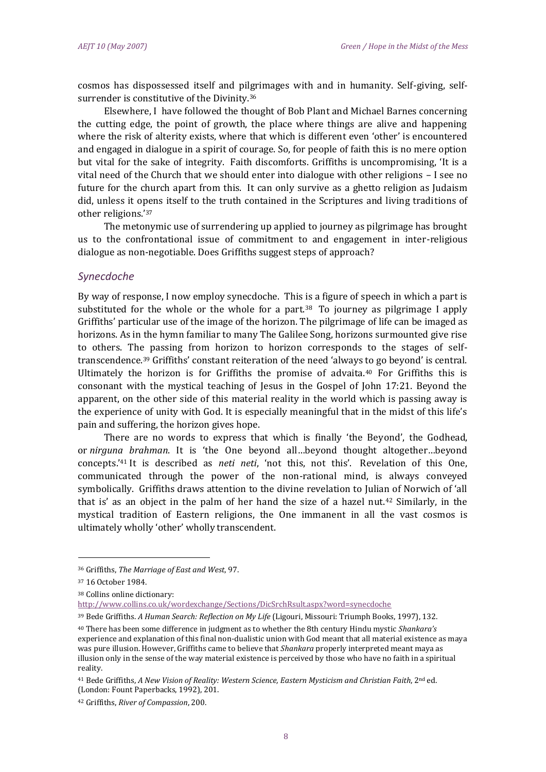cosmos has dispossessed itself and pilgrimages with and in humanity. Self-giving, selfsurrender is constitutive of the Divinity.<sup>36</sup>

Elsewhere, I have followed the thought of Bob Plant and Michael Barnes concerning the cutting edge, the point of growth, the place where things are alive and happening where the risk of alterity exists, where that which is different even 'other' is encountered and engaged in dialogue in a spirit of courage. So, for people of faith this is no mere option but vital for the sake of integrity. Faith discomforts. Griffiths is uncompromising, 'It is a vital need of the Church that we should enter into dialogue with other religions – I see no future for the church apart from this. It can only survive as a ghetto religion as Judaism did, unless it opens itself to the truth contained in the Scriptures and living traditions of other religions.' 37

The metonymic use of surrendering up applied to journey as pilgrimage has brought us to the confrontational issue of commitment to and engagement in inter-religious dialogue as non-negotiable. Does Griffiths suggest steps of approach?

### *Synecdoche*

By way of response, I now employ synecdoche. This is a figure of speech in which a part is substituted for the whole or the whole for a part.<sup>38</sup> To journey as pilgrimage I apply Griffiths' particular use of the image of the horizon. The pilgrimage of life can be imaged as horizons. As in the hymn familiar to many The Galilee Song, horizons surmounted give rise to others. The passing from horizon to horizon corresponds to the stages of selftranscendence.<sup>39</sup> Griffiths' constant reiteration of the need 'always to go beyond' is central. Ultimately the horizon is for Griffiths the promise of advaita. $40$  For Griffiths this is consonant with the mystical teaching of Jesus in the Gospel of John 17:21. Beyond the apparent, on the other side of this material reality in the world which is passing away is the experience of unity with God. It is especially meaningful that in the midst of this life's pain and suffering, the horizon gives hope.

There are no words to express that which is finally 'the Beyond', the Godhead, or *nirguna brahman*. It is 'the One beyond all…beyond thought altogether…beyond concepts.'<sup>41</sup> It is described as *neti neti*, 'not this, not this'. Revelation of this One, communicated through the power of the non-rational mind, is always conveyed symbolically. Griffiths draws attention to the divine revelation to Julian of Norwich of 'all that is' as an object in the palm of her hand the size of a hazel nut.<sup>42</sup> Similarly, in the mystical tradition of Eastern religions, the One immanent in all the vast cosmos is ultimately wholly 'other' wholly transcendent.

<sup>36</sup> Griffiths, *The Marriage of East and West*, 97.

<sup>37</sup> 16 October 1984.

<sup>38</sup> Collins online dictionary:

<http://www.collins.co.uk/wordexchange/Sections/DicSrchRsult.aspx?word=synecdoche>

<sup>39</sup> Bede Griffiths. *A Human Search: Reflection on My Life* (Ligouri, Missouri: Triumph Books, 1997), 132.

<sup>40</sup> There has been some difference in judgment as to whether the 8th century Hindu mystic *Shankara's* experience and explanation of this final non-dualistic union with God meant that all material existence as maya was pure illusion. However, Griffiths came to believe that *Shankara* properly interpreted meant maya as illusion only in the sense of the way material existence is perceived by those who have no faith in a spiritual reality.

<sup>41</sup> Bede Griffiths, *A New Vision of Reality: Western Science, Eastern Mysticism and Christian Faith*, 2nd ed. (London: Fount Paperbacks, 1992), 201.

<sup>42</sup> Griffiths, *River of Compassion*, 200.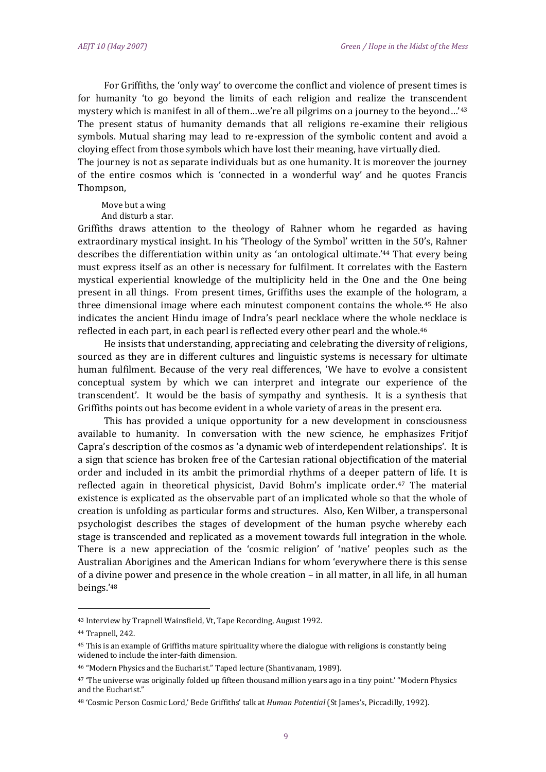For Griffiths, the 'only way' to overcome the conflict and violence of present times is for humanity 'to go beyond the limits of each religion and realize the transcendent mystery which is manifest in all of them…we're all pilgrims on a journey to the beyond…'<sup>43</sup> The present status of humanity demands that all religions re-examine their religious symbols. Mutual sharing may lead to re-expression of the symbolic content and avoid a cloying effect from those symbols which have lost their meaning, have virtually died. The journey is not as separate individuals but as one humanity. It is moreover the journey of the entire cosmos which is 'connected in a wonderful way' and he quotes Francis

Move but a wing

Thompson,

And disturb a star.

Griffiths draws attention to the theology of Rahner whom he regarded as having extraordinary mystical insight. In his 'Theology of the Symbol' written in the 50's, Rahner describes the differentiation within unity as 'an ontological ultimate.' <sup>44</sup> That every being must express itself as an other is necessary for fulfilment. It correlates with the Eastern mystical experiential knowledge of the multiplicity held in the One and the One being present in all things. From present times, Griffiths uses the example of the hologram, a three dimensional image where each minutest component contains the whole.<sup>45</sup> He also indicates the ancient Hindu image of Indra's pearl necklace where the whole necklace is reflected in each part, in each pearl is reflected every other pearl and the whole.<sup>46</sup>

He insists that understanding, appreciating and celebrating the diversity of religions, sourced as they are in different cultures and linguistic systems is necessary for ultimate human fulfilment. Because of the very real differences, 'We have to evolve a consistent conceptual system by which we can interpret and integrate our experience of the transcendent'. It would be the basis of sympathy and synthesis. It is a synthesis that Griffiths points out has become evident in a whole variety of areas in the present era.

This has provided a unique opportunity for a new development in consciousness available to humanity. In conversation with the new science, he emphasizes Fritjof Capra's description of the cosmos as 'a dynamic web of interdependent relationships'. It is a sign that science has broken free of the Cartesian rational objectification of the material order and included in its ambit the primordial rhythms of a deeper pattern of life. It is reflected again in theoretical physicist, David Bohm's implicate order. $47$  The material existence is explicated as the observable part of an implicated whole so that the whole of creation is unfolding as particular forms and structures. Also, Ken Wilber, a transpersonal psychologist describes the stages of development of the human psyche whereby each stage is transcended and replicated as a movement towards full integration in the whole. There is a new appreciation of the 'cosmic religion' of 'native' peoples such as the Australian Aborigines and the American Indians for whom 'everywhere there is this sense of a divine power and presence in the whole creation – in all matter, in all life, in all human beings.'<sup>48</sup>

<sup>43</sup> Interview by Trapnell Wainsfield, Vt, Tape Recording, August 1992.

<sup>44</sup> Trapnell, 242.

<sup>45</sup> This is an example of Griffiths mature spirituality where the dialogue with religions is constantly being widened to include the inter-faith dimension.

<sup>46</sup> "Modern Physics and the Eucharist." Taped lecture (Shantivanam, 1989).

<sup>47</sup> 'The universe was originally folded up fifteen thousand million years ago in a tiny point.' "Modern Physics and the Eucharist."

<sup>48</sup> 'Cosmic Person Cosmic Lord,' Bede Griffiths' talk at *Human Potential* (St James's, Piccadilly, 1992).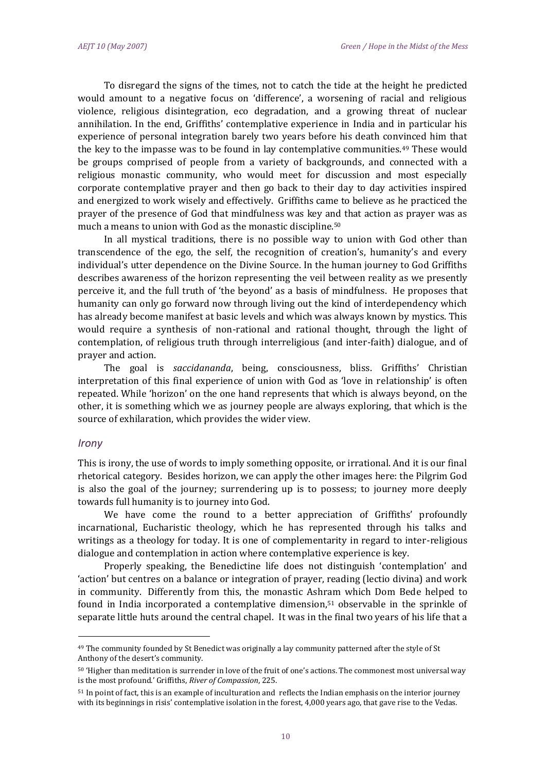To disregard the signs of the times, not to catch the tide at the height he predicted would amount to a negative focus on 'difference', a worsening of racial and religious violence, religious disintegration, eco degradation, and a growing threat of nuclear annihilation. In the end, Griffiths' contemplative experience in India and in particular his experience of personal integration barely two years before his death convinced him that the key to the impasse was to be found in lay contemplative communities.<sup>49</sup> These would be groups comprised of people from a variety of backgrounds, and connected with a religious monastic community, who would meet for discussion and most especially corporate contemplative prayer and then go back to their day to day activities inspired and energized to work wisely and effectively. Griffiths came to believe as he practiced the prayer of the presence of God that mindfulness was key and that action as prayer was as much a means to union with God as the monastic discipline.<sup>50</sup>

In all mystical traditions, there is no possible way to union with God other than transcendence of the ego, the self, the recognition of creation's, humanity's and every individual's utter dependence on the Divine Source. In the human journey to God Griffiths describes awareness of the horizon representing the veil between reality as we presently perceive it, and the full truth of 'the beyond' as a basis of mindfulness. He proposes that humanity can only go forward now through living out the kind of interdependency which has already become manifest at basic levels and which was always known by mystics. This would require a synthesis of non-rational and rational thought, through the light of contemplation, of religious truth through interreligious (and inter-faith) dialogue, and of prayer and action.

The goal is *saccidananda*, being, consciousness, bliss. Griffiths' Christian interpretation of this final experience of union with God as 'love in relationship' is often repeated. While 'horizon' on the one hand represents that which is always beyond, on the other, it is something which we as journey people are always exploring, that which is the source of exhilaration, which provides the wider view.

#### *Irony*

l

This is irony, the use of words to imply something opposite, or irrational. And it is our final rhetorical category. Besides horizon, we can apply the other images here: the Pilgrim God is also the goal of the journey; surrendering up is to possess; to journey more deeply towards full humanity is to journey into God.

We have come the round to a better appreciation of Griffiths' profoundly incarnational, Eucharistic theology, which he has represented through his talks and writings as a theology for today. It is one of complementarity in regard to inter-religious dialogue and contemplation in action where contemplative experience is key.

Properly speaking, the Benedictine life does not distinguish 'contemplation' and 'action' but centres on a balance or integration of prayer, reading (lectio divina) and work in community. Differently from this, the monastic Ashram which Dom Bede helped to found in India incorporated a contemplative dimension,<sup>51</sup> observable in the sprinkle of separate little huts around the central chapel. It was in the final two years of his life that a

<sup>49</sup> The community founded by St Benedict was originally a lay community patterned after the style of St Anthony of the desert's community.

<sup>50</sup> 'Higher than meditation is surrender in love of the fruit of one's actions. The commonest most universal way is the most profound.' Griffiths, *River of Compassion*, 225.

<sup>51</sup> In point of fact, this is an example of inculturation and reflects the Indian emphasis on the interior journey with its beginnings in risis' contemplative isolation in the forest, 4,000 years ago, that gave rise to the Vedas.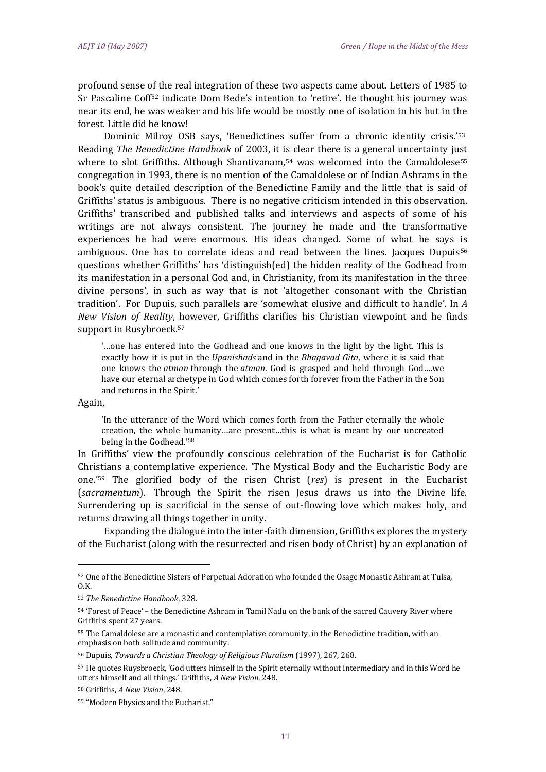profound sense of the real integration of these two aspects came about. Letters of 1985 to Sr Pascaline Coff<sup>52</sup> indicate Dom Bede's intention to 'retire'. He thought his journey was near its end, he was weaker and his life would be mostly one of isolation in his hut in the forest. Little did he know!

Dominic Milroy OSB says, 'Benedictines suffer from a chronic identity crisis.'<sup>53</sup> Reading *The Benedictine Handbook* of 2003, it is clear there is a general uncertainty just where to slot Griffiths. Although Shantivanam,  $54$  was welcomed into the Camaldolese<sup>55</sup> congregation in 1993, there is no mention of the Camaldolese or of Indian Ashrams in the book's quite detailed description of the Benedictine Family and the little that is said of Griffiths' status is ambiguous. There is no negative criticism intended in this observation. Griffiths' transcribed and published talks and interviews and aspects of some of his writings are not always consistent. The journey he made and the transformative experiences he had were enormous. His ideas changed. Some of what he says is ambiguous. One has to correlate ideas and read between the lines. Jacques Dupuis<sup>56</sup> questions whether Griffiths' has 'distinguish(ed) the hidden reality of the Godhead from its manifestation in a personal God and, in Christianity, from its manifestation in the three divine persons', in such as way that is not 'altogether consonant with the Christian tradition'. For Dupuis, such parallels are 'somewhat elusive and difficult to handle'. In *A New Vision of Reality*, however, Griffiths clarifies his Christian viewpoint and he finds support in Rusybroeck.<sup>57</sup>

'…one has entered into the Godhead and one knows in the light by the light. This is exactly how it is put in the *Upanishads* and in the *Bhagavad Gita*, where it is said that one knows the *atman* through the *atman*. God is grasped and held through God….we have our eternal archetype in God which comes forth forever from the Father in the Son and returns in the Spirit.'

Again,

 $\overline{\phantom{a}}$ 

'In the utterance of the Word which comes forth from the Father eternally the whole creation, the whole humanity…are present…this is what is meant by our uncreated being in the Godhead.' 58

In Griffiths' view the profoundly conscious celebration of the Eucharist is for Catholic Christians a contemplative experience. 'The Mystical Body and the Eucharistic Body are one.' <sup>59</sup> The glorified body of the risen Christ (*res*) is present in the Eucharist (*sacramentum*). Through the Spirit the risen Jesus draws us into the Divine life. Surrendering up is sacrificial in the sense of out-flowing love which makes holy, and returns drawing all things together in unity.

Expanding the dialogue into the inter-faith dimension, Griffiths explores the mystery of the Eucharist (along with the resurrected and risen body of Christ) by an explanation of

<sup>52</sup> One of the Benedictine Sisters of Perpetual Adoration who founded the Osage Monastic Ashram at Tulsa,  $0.K.$ 

<sup>53</sup> *The Benedictine Handbook*, 328.

<sup>54</sup> 'Forest of Peace' – the Benedictine Ashram in Tamil Nadu on the bank of the sacred Cauvery River where Griffiths spent 27 years.

<sup>55</sup> The Camaldolese are a monastic and contemplative community, in the Benedictine tradition, with an emphasis on both solitude and community.

<sup>56</sup> Dupuis, *Towards a Christian Theology of Religious Pluralism* (1997), 267, 268.

<sup>57</sup> He quotes Ruysbroeck, 'God utters himself in the Spirit eternally without intermediary and in this Word he utters himself and all things.' Griffiths, *A New Vision*, 248.

<sup>58</sup> Griffiths, *A New Vision*, 248.

<sup>59</sup> "Modern Physics and the Eucharist."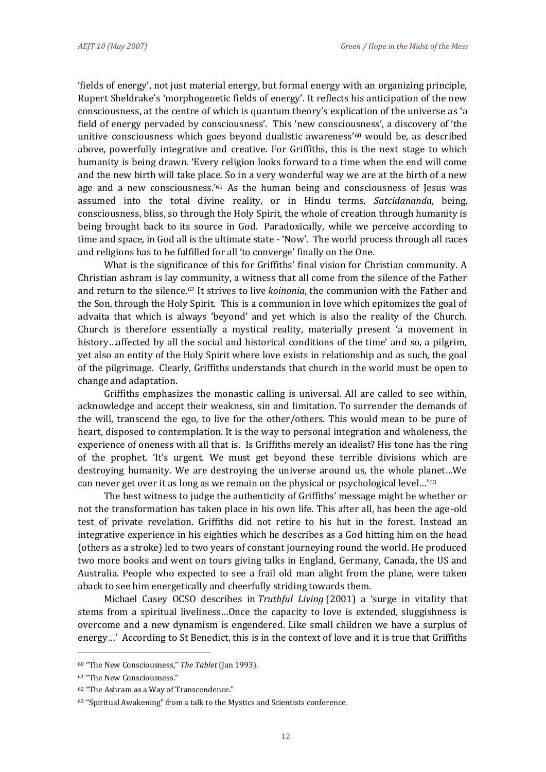'fields of energy', not just material energy, but formal energy with an organizing principle, Rupert Sheldrake's 'morphogenetic fields of energy'. It reflects his anticipation of the new consciousness, at the centre of which is quantum theory's explication of the universe as 'a field of energy pervaded by consciousness'. This 'new consciousness', a discovery of 'the unitive consciousness which goes beyond dualistic awareness' $60$  would be, as described above, powerfully integrative and creative. For Griffiths, this is the next stage to which humanity is being drawn. 'Every religion looks forward to a time when the end will come and the new birth will take place. So in a very wonderful way we are at the birth of a new age and a new consciousness.' <sup>61</sup> As the human being and consciousness of Jesus was assumed into the total divine reality, or in Hindu terms, *Satcidananda*, being, consciousness, bliss, so through the Holy Spirit, the whole of creation through humanity is being brought back to its source in God. Paradoxically, while we perceive according to time and space, in God all is the ultimate state - 'Now'. The world process through all races and religions has to be fulfilled for all 'to converge' finally on the One.

What is the significance of this for Griffiths' final vision for Christian community. A Christian ashram is lay community, a witness that all come from the silence of the Father and return to the silence.<sup>62</sup> It strives to live *koinonia*, the communion with the Father and the Son, through the Holy Spirit. This is a communion in love which epitomizes the goal of advaita that which is always 'beyond' and yet which is also the reality of the Church. Church is therefore essentially a mystical reality, materially present 'a movement in history…affected by all the social and historical conditions of the time' and so, a pilgrim, yet also an entity of the Holy Spirit where love exists in relationship and as such, the goal of the pilgrimage. Clearly, Griffiths understands that church in the world must be open to change and adaptation.

Griffiths emphasizes the monastic calling is universal. All are called to see within, acknowledge and accept their weakness, sin and limitation. To surrender the demands of the will, transcend the ego, to live for the other/others. This would mean to be pure of heart, disposed to contemplation. It is the way to personal integration and wholeness, the experience of oneness with all that is. Is Griffiths merely an idealist? His tone has the ring of the prophet. 'It's urgent. We must get beyond these terrible divisions which are destroying humanity. We are destroying the universe around us, the whole planet…We can never get over it as long as we remain on the physical or psychological level…'<sup>63</sup>

The best witness to judge the authenticity of Griffiths' message might be whether or not the transformation has taken place in his own life. This after all, has been the age-old test of private revelation. Griffiths did not retire to his hut in the forest. Instead an integrative experience in his eighties which he describes as a God hitting him on the head (others as a stroke) led to two years of constant journeying round the world. He produced two more books and went on tours giving talks in England, Germany, Canada, the US and Australia. People who expected to see a frail old man alight from the plane, were taken aback to see him energetically and cheerfully striding towards them.

Michael Casey OCSO describes in *Truthful Living* (2001) a 'surge in vitality that stems from a spiritual liveliness…Once the capacity to love is extended, sluggishness is overcome and a new dynamism is engendered. Like small children we have a surplus of energy…' According to St Benedict, this is in the context of love and it is true that Griffiths

<sup>60</sup> "The New Consciousness," *The Tablet* (Jan 1993).

<sup>61</sup> "The New Consciousness."

<sup>62</sup> "The Ashram as a Way of Transcendence."

<sup>63</sup> "Spiritual Awakening" from a talk to the Mystics and Scientists conference.